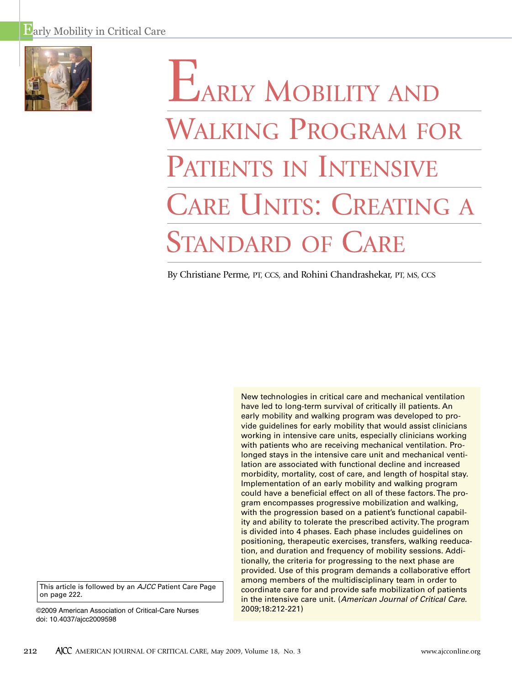

# EARLY MOBILITY AND WALKING PROGRAM FOR PATIENTS IN INTENSIVE CARE UNITS: CREATING A STANDARD OF CARE

By Christiane Perme, PT, CCS, and Rohini Chandrashekar, PT, MS, CCS

This article is followed by an *AJCC* Patient Care Page on page 222.

©2009 American Association of Critical-Care Nurses doi: 10.4037/ajcc2009598

New technologies in critical care and mechanical ventilation have led to long-term survival of critically ill patients. An early mobility and walking program was developed to provide guidelines for early mobility that would assist clinicians working in intensive care units, especially clinicians working with patients who are receiving mechanical ventilation. Prolonged stays in the intensive care unit and mechanical ventilation are associated with functional decline and increased morbidity, mortality, cost of care, and length of hospital stay. Implementation of an early mobility and walking program could have a beneficial effect on all of these factors. The program encompasses progressive mobilization and walking, with the progression based on a patient's functional capability and ability to tolerate the prescribed activity. The program is divided into 4 phases. Each phase includes guidelines on positioning, therapeutic exercises, transfers, walking reeducation, and duration and frequency of mobility sessions. Additionally, the criteria for progressing to the next phase are provided. Use of this program demands a collaborative effort among members of the multidisciplinary team in order to coordinate care for and provide safe mobilization of patients in the intensive care unit. (*American Journal of Critical Care.* 2009;18:212-221)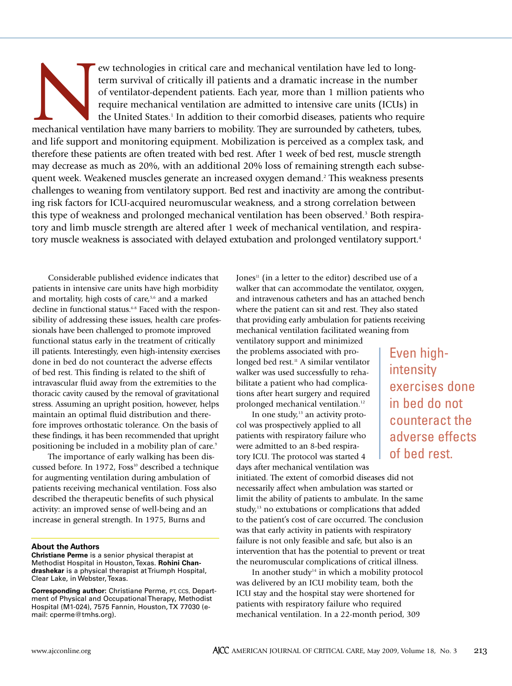EXERCT THE CONDUCTED THE CONDUCTED THE CONDUCTED SURVEY OF VENTILATOR OF VENTILATOR OF VENTILATOR OF VENTILATOR CONDUCTED AND THE CONDUCTED OF VENTILATOR CONDUCTED AND THE CONDUCTED OF VENTILATOR OF VENTILATOR CONDUCTED AN term survival of critically ill patients and a dramatic increase in the number of ventilator-dependent patients. Each year, more than 1 million patients who require mechanical ventilation are admitted to intensive care units (ICUs) in the United States.<sup>1</sup> In addition to their comorbid diseases, patients who require and life support and monitoring equipment. Mobilization is perceived as a complex task, and therefore these patients are often treated with bed rest. After 1 week of bed rest, muscle strength may decrease as much as 20%, with an additional 20% loss of remaining strength each subsequent week. Weakened muscles generate an increased oxygen demand.2 This weakness presents challenges to weaning from ventilatory support. Bed rest and inactivity are among the contributing risk factors for ICU-acquired neuromuscular weakness, and a strong correlation between this type of weakness and prolonged mechanical ventilation has been observed.<sup>3</sup> Both respiratory and limb muscle strength are altered after 1 week of mechanical ventilation, and respiratory muscle weakness is associated with delayed extubation and prolonged ventilatory support.<sup>4</sup>

Considerable published evidence indicates that patients in intensive care units have high morbidity and mortality, high costs of care,<sup>5,6</sup> and a marked decline in functional status.<sup>6-8</sup> Faced with the responsibility of addressing these issues, health care professionals have been challenged to promote improved functional status early in the treatment of critically ill patients. Interestingly, even high-intensity exercises done in bed do not counteract the adverse effects of bed rest. This finding is related to the shift of intravascular fluid away from the extremities to the thoracic cavity caused by the removal of gravitational stress. Assuming an upright position, however, helps maintain an optimal fluid distribution and therefore improves orthostatic tolerance. On the basis of these findings, it has been recommended that upright positioning be included in a mobility plan of care.<sup>9</sup>

The importance of early walking has been discussed before. In 1972, Foss<sup>10</sup> described a technique for augmenting ventilation during ambulation of patients receiving mechanical ventilation. Foss also described the therapeutic benefits of such physical activity: an improved sense of well-being and an increase in general strength. In 1975, Burns and

# **About the Authors**

Jones<sup>11</sup> (in a letter to the editor) described use of a walker that can accommodate the ventilator, oxygen, and intravenous catheters and has an attached bench where the patient can sit and rest. They also stated that providing early ambulation for patients receiving mechanical ventilation facilitated weaning from

ventilatory support and minimized the problems associated with prolonged bed rest.<sup>11</sup> A similar ventilator walker was used successfully to rehabilitate a patient who had complications after heart surgery and required prolonged mechanical ventilation.<sup>12</sup>

In one study, $13$  an activity protocol was prospectively applied to all patients with respiratory failure who were admitted to an 8-bed respiratory ICU. The protocol was started 4 days after mechanical ventilation was

initiated. The extent of comorbid diseases did not necessarily affect when ambulation was started or limit the ability of patients to ambulate. In the same study,<sup>13</sup> no extubations or complications that added to the patient's cost of care occurred. The conclusion was that early activity in patients with respiratory failure is not only feasible and safe, but also is an intervention that has the potential to prevent or treat the neuromuscular complications of critical illness.

In another study $14$  in which a mobility protocol was delivered by an ICU mobility team, both the ICU stay and the hospital stay were shortened for patients with respiratory failure who required mechanical ventilation. In a 22-month period, 309

Even highintensity exercises done in bed do not counteract the adverse effects of bed rest.

**Christiane Perme** is a senior physical therapist at Methodist Hospital in Houston, Texas. **Rohini Chandrashekar** is a physical therapist at Triumph Hospital, Clear Lake, in Webster, Texas.

**Corresponding author:** Christiane Perme, PT, CCS, Department of Physical and Occupational Therapy, Methodist Hospital (M1-024), 7575 Fannin, Houston, TX 77030 (email: cperme@tmhs.org).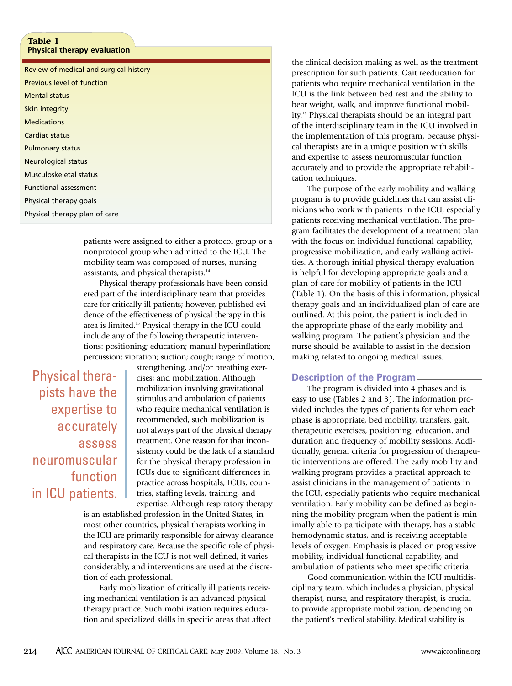# **Table 1 Physical therapy evaluation**

| Review of medical and surgical history |  |  |  |
|----------------------------------------|--|--|--|
| <b>Previous level of function</b>      |  |  |  |
| <b>Mental status</b>                   |  |  |  |
| Skin integrity                         |  |  |  |
| <b>Medications</b>                     |  |  |  |
| Cardiac status                         |  |  |  |
| <b>Pulmonary status</b>                |  |  |  |
| <b>Neurological status</b>             |  |  |  |
| Musculoskeletal status                 |  |  |  |
| <b>Functional assessment</b>           |  |  |  |
| Physical therapy goals                 |  |  |  |
| Physical therapy plan of care          |  |  |  |

patients were assigned to either a protocol group or a nonprotocol group when admitted to the ICU. The mobility team was composed of nurses, nursing assistants, and physical therapists.14

Physical therapy professionals have been considered part of the interdisciplinary team that provides care for critically ill patients; however, published evidence of the effectiveness of physical therapy in this area is limited.15 Physical therapy in the ICU could include any of the following therapeutic interventions: positioning; education; manual hyperinflation; percussion; vibration; suction; cough; range of motion,

Physical therapists have the expertise to accurately assess neuromuscular function in ICU patients.

strengthening, and/or breathing exercises; and mobilization. Although mobilization involving gravitational stimulus and ambulation of patients who require mechanical ventilation is recommended, such mobilization is not always part of the physical therapy treatment. One reason for that inconsistency could be the lack of a standard for the physical therapy profession in ICUs due to significant differences in practice across hospitals, ICUs, countries, staffing levels, training, and

expertise. Although respiratory therapy is an established profession in the United States, in most other countries, physical therapists working in the ICU are primarily responsible for airway clearance and respiratory care. Because the specific role of physical therapists in the ICU is not well defined, it varies considerably, and interventions are used at the discretion of each professional.

Early mobilization of critically ill patients receiving mechanical ventilation is an advanced physical therapy practice. Such mobilization requires education and specialized skills in specific areas that affect the clinical decision making as well as the treatment prescription for such patients. Gait reeducation for patients who require mechanical ventilation in the ICU is the link between bed rest and the ability to bear weight, walk, and improve functional mobility.16 Physical therapists should be an integral part of the interdisciplinary team in the ICU involved in the implementation of this program, because physical therapists are in a unique position with skills and expertise to assess neuromuscular function accurately and to provide the appropriate rehabilitation techniques.

The purpose of the early mobility and walking program is to provide guidelines that can assist clinicians who work with patients in the ICU, especially patients receiving mechanical ventilation. The program facilitates the development of a treatment plan with the focus on individual functional capability, progressive mobilization, and early walking activities. A thorough initial physical therapy evaluation is helpful for developing appropriate goals and a plan of care for mobility of patients in the ICU (Table 1). On the basis of this information, physical therapy goals and an individualized plan of care are outlined. At this point, the patient is included in the appropriate phase of the early mobility and walking program. The patient's physician and the nurse should be available to assist in the decision making related to ongoing medical issues.

# **Description of the Program**

The program is divided into 4 phases and is easy to use (Tables 2 and 3). The information provided includes the types of patients for whom each phase is appropriate, bed mobility, transfers, gait, therapeutic exercises, positioning, education, and duration and frequency of mobility sessions. Additionally, general criteria for progression of therapeutic interventions are offered. The early mobility and walking program provides a practical approach to assist clinicians in the management of patients in the ICU, especially patients who require mechanical ventilation. Early mobility can be defined as beginning the mobility program when the patient is minimally able to participate with therapy, has a stable hemodynamic status, and is receiving acceptable levels of oxygen. Emphasis is placed on progressive mobility, individual functional capability, and ambulation of patients who meet specific criteria.

Good communication within the ICU multidisciplinary team, which includes a physician, physical therapist, nurse, and respiratory therapist, is crucial to provide appropriate mobilization, depending on the patient's medical stability. Medical stability is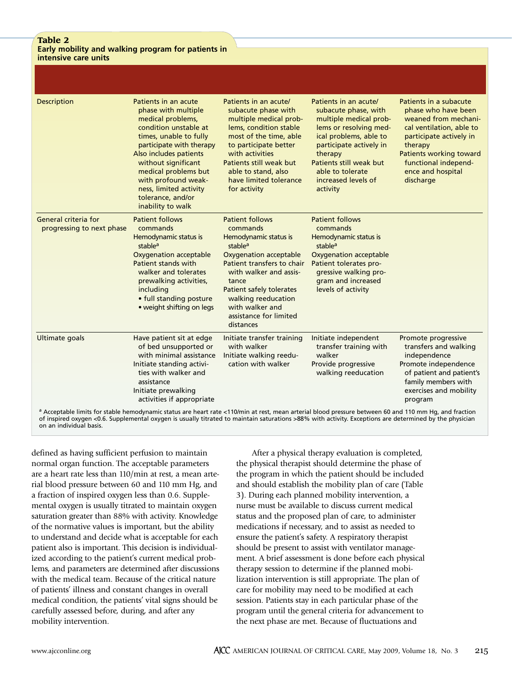# **Table 2**

**Early mobility and walking program for patients in intensive care units**

| <b>Description</b>                                | Patients in an acute<br>phase with multiple<br>medical problems,<br>condition unstable at<br>times, unable to fully<br>participate with therapy<br>Also includes patients<br>without significant<br>medical problems but<br>with profound weak-<br>ness, limited activity<br>tolerance, and/or<br>inability to walk | Patients in an acute/<br>subacute phase with<br>multiple medical prob-<br>lems, condition stable<br>most of the time, able<br>to participate better<br>with activities<br>Patients still weak but<br>able to stand, also<br>have limited tolerance<br>for activity                         | Patients in an acute/<br>subacute phase, with<br>multiple medical prob-<br>lems or resolving med-<br>ical problems, able to<br>participate actively in<br>therapy<br>Patients still weak but<br>able to tolerate<br>increased levels of<br>activity | Patients in a subacute<br>phase who have been<br>weaned from mechani-<br>cal ventilation, able to<br>participate actively in<br>therapy<br><b>Patients working toward</b><br>functional independ-<br>ence and hospital<br>discharge |
|---------------------------------------------------|---------------------------------------------------------------------------------------------------------------------------------------------------------------------------------------------------------------------------------------------------------------------------------------------------------------------|--------------------------------------------------------------------------------------------------------------------------------------------------------------------------------------------------------------------------------------------------------------------------------------------|-----------------------------------------------------------------------------------------------------------------------------------------------------------------------------------------------------------------------------------------------------|-------------------------------------------------------------------------------------------------------------------------------------------------------------------------------------------------------------------------------------|
| General criteria for<br>progressing to next phase | <b>Patient follows</b><br>commands<br>Hemodynamic status is<br>stable <sup>a</sup><br>Oxygenation acceptable<br>Patient stands with<br>walker and tolerates<br>prewalking activities,<br>including<br>• full standing posture<br>• weight shifting on legs                                                          | <b>Patient follows</b><br>commands<br>Hemodynamic status is<br>stable <sup>a</sup><br>Oxygenation acceptable<br>Patient transfers to chair<br>with walker and assis-<br>tance<br>Patient safely tolerates<br>walking reeducation<br>with walker and<br>assistance for limited<br>distances | <b>Patient follows</b><br>commands<br>Hemodynamic status is<br>stable <sup>a</sup><br>Oxygenation acceptable<br>Patient tolerates pro-<br>gressive walking pro-<br>gram and increased<br>levels of activity                                         |                                                                                                                                                                                                                                     |
| Ultimate goals                                    | Have patient sit at edge<br>of bed unsupported or<br>with minimal assistance<br>Initiate standing activi-<br>ties with walker and<br>assistance<br>Initiate prewalking<br>activities if appropriate                                                                                                                 | Initiate transfer training<br>with walker<br>Initiate walking reedu-<br>cation with walker                                                                                                                                                                                                 | Initiate independent<br>transfer training with<br>walker<br>Provide progressive<br>walking reeducation                                                                                                                                              | Promote progressive<br>transfers and walking<br>independence<br>Promote independence<br>of patient and patient's<br>family members with<br>exercises and mobility<br>program                                                        |

a Acceptable limits for stable hemodynamic status are heart rate <110/min at rest, mean arterial blood pressure between 60 and 110 mm Hg, and fraction of inspired oxygen <0.6. Supplemental oxygen is usually titrated to maintain saturations >88% with activity. Exceptions are determined by the physician on an individual basis.

defined as having sufficient perfusion to maintain normal organ function. The acceptable parameters are a heart rate less than 110/min at rest, a mean arterial blood pressure between 60 and 110 mm Hg, and a fraction of inspired oxygen less than 0.6. Supplemental oxygen is usually titrated to maintain oxygen saturation greater than 88% with activity. Knowledge of the normative values is important, but the ability to understand and decide what is acceptable for each patient also is important. This decision is individualized according to the patient's current medical problems, and parameters are determined after discussions with the medical team. Because of the critical nature of patients' illness and constant changes in overall medical condition, the patients' vital signs should be carefully assessed before, during, and after any mobility intervention.

After a physical therapy evaluation is completed, the physical therapist should determine the phase of the program in which the patient should be included and should establish the mobility plan of care (Table 3). During each planned mobility intervention, a nurse must be available to discuss current medical status and the proposed plan of care, to administer medications if necessary, and to assist as needed to ensure the patient's safety. A respiratory therapist should be present to assist with ventilator management. A brief assessment is done before each physical therapy session to determine if the planned mobilization intervention is still appropriate. The plan of care for mobility may need to be modified at each session. Patients stay in each particular phase of the program until the general criteria for advancement to the next phase are met. Because of fluctuations and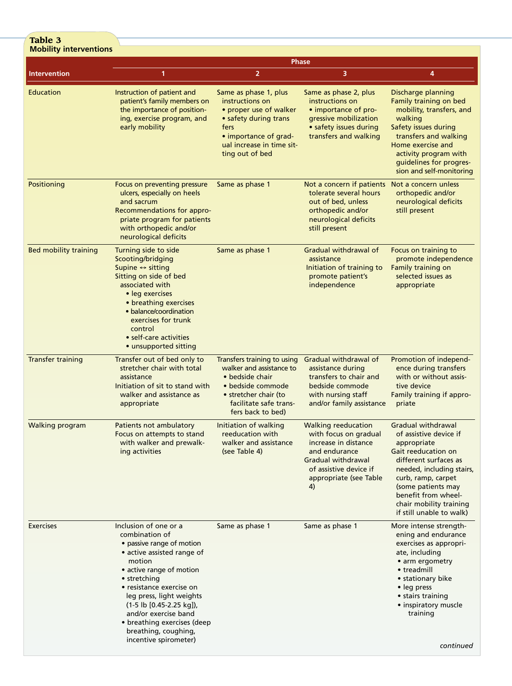| Table 3<br><b>Mobility interventions</b> |                                                                                                                                                                                                                                                                                                                                 |                                                                                                                                                                              |                                                                                                                                                                              |                                                                                                                                                                                                                                                                           |  |  |  |
|------------------------------------------|---------------------------------------------------------------------------------------------------------------------------------------------------------------------------------------------------------------------------------------------------------------------------------------------------------------------------------|------------------------------------------------------------------------------------------------------------------------------------------------------------------------------|------------------------------------------------------------------------------------------------------------------------------------------------------------------------------|---------------------------------------------------------------------------------------------------------------------------------------------------------------------------------------------------------------------------------------------------------------------------|--|--|--|
|                                          |                                                                                                                                                                                                                                                                                                                                 | <b>Phase</b>                                                                                                                                                                 |                                                                                                                                                                              |                                                                                                                                                                                                                                                                           |  |  |  |
| Intervention                             | 1                                                                                                                                                                                                                                                                                                                               | $\overline{2}$                                                                                                                                                               | 3                                                                                                                                                                            | 4                                                                                                                                                                                                                                                                         |  |  |  |
| Education                                | Instruction of patient and<br>patient's family members on<br>the importance of position-<br>ing, exercise program, and<br>early mobility                                                                                                                                                                                        | Same as phase 1, plus<br>instructions on<br>• proper use of walker<br>• safety during trans<br>fers<br>• importance of grad-<br>ual increase in time sit-<br>ting out of bed | Same as phase 2, plus<br>instructions on<br>• importance of pro-<br>gressive mobilization<br>• safety issues during<br>transfers and walking                                 | Discharge planning<br>Family training on bed<br>mobility, transfers, and<br>walking<br>Safety issues during<br>transfers and walking<br>Home exercise and<br>activity program with<br>guidelines for progres-<br>sion and self-monitoring                                 |  |  |  |
| Positioning                              | Focus on preventing pressure<br>ulcers, especially on heels<br>and sacrum<br>Recommendations for appro-<br>priate program for patients<br>with orthopedic and/or<br>neurological deficits                                                                                                                                       | Same as phase 1                                                                                                                                                              | Not a concern if patients<br>tolerate several hours<br>out of bed, unless<br>orthopedic and/or<br>neurological deficits<br>still present                                     | Not a concern unless<br>orthopedic and/or<br>neurological deficits<br>still present                                                                                                                                                                                       |  |  |  |
| <b>Bed mobility training</b>             | Turning side to side<br>Scooting/bridging<br>Supine $\leftrightarrow$ sitting<br>Sitting on side of bed<br>associated with<br>• leg exercises<br>• breathing exercises<br>• balance/coordination<br>exercises for trunk<br>control<br>• self-care activities<br>• unsupported sitting                                           | Same as phase 1                                                                                                                                                              | Gradual withdrawal of<br>assistance<br>Initiation of training to<br>promote patient's<br>independence                                                                        | Focus on training to<br>promote independence<br>Family training on<br>selected issues as<br>appropriate                                                                                                                                                                   |  |  |  |
| <b>Transfer training</b>                 | Transfer out of bed only to<br>stretcher chair with total<br>assistance<br>Initiation of sit to stand with<br>walker and assistance as<br>appropriate                                                                                                                                                                           | Transfers training to using<br>walker and assistance to<br>• bedside chair<br>• bedside commode<br>• stretcher chair (to<br>facilitate safe trans-<br>fers back to bed)      | Gradual withdrawal of<br>assistance during<br>transfers to chair and<br>bedside commode<br>with nursing staff<br>and/or family assistance                                    | Promotion of independ-<br>ence during transfers<br>with or without assis-<br>tive device<br>Family training if appro-<br>priate                                                                                                                                           |  |  |  |
| <b>Walking program</b>                   | Patients not ambulatory<br>Focus on attempts to stand<br>with walker and prewalk-<br>ing activities                                                                                                                                                                                                                             | Initiation of walking<br>reeducation with<br>walker and assistance<br>(see Table 4)                                                                                          | <b>Walking reeducation</b><br>with focus on gradual<br>increase in distance<br>and endurance<br>Gradual withdrawal<br>of assistive device if<br>appropriate (see Table<br>4) | <b>Gradual withdrawal</b><br>of assistive device if<br>appropriate<br>Gait reeducation on<br>different surfaces as<br>needed, including stairs,<br>curb, ramp, carpet<br>(some patients may<br>benefit from wheel-<br>chair mobility training<br>if still unable to walk) |  |  |  |
| <b>Exercises</b>                         | Inclusion of one or a<br>combination of<br>• passive range of motion<br>• active assisted range of<br>motion<br>• active range of motion<br>• stretching<br>• resistance exercise on<br>leg press, light weights<br>$(1-5$ lb $[0.45-2.25$ kg]),<br>and/or exercise band<br>• breathing exercises (deep<br>breathing, coughing, | Same as phase 1                                                                                                                                                              | Same as phase 1                                                                                                                                                              | More intense strength-<br>ening and endurance<br>exercises as appropri-<br>ate, including<br>• arm ergometry<br>• treadmill<br>• stationary bike<br>• leg press<br>• stairs training<br>• inspiratory muscle<br>training                                                  |  |  |  |
|                                          | incentive spirometer)                                                                                                                                                                                                                                                                                                           |                                                                                                                                                                              |                                                                                                                                                                              | continued                                                                                                                                                                                                                                                                 |  |  |  |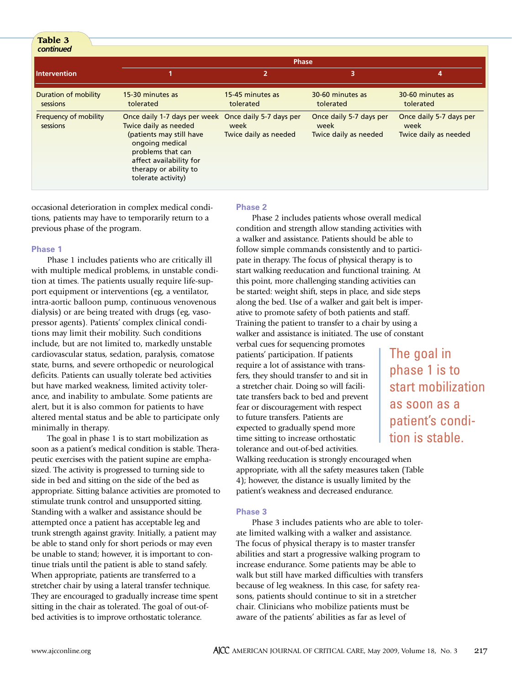| Table 3<br>continued                    |                                                                                                                                                                                                                             |                               |                                                          |                                                          |  |  |
|-----------------------------------------|-----------------------------------------------------------------------------------------------------------------------------------------------------------------------------------------------------------------------------|-------------------------------|----------------------------------------------------------|----------------------------------------------------------|--|--|
|                                         | <b>Phase</b>                                                                                                                                                                                                                |                               |                                                          |                                                          |  |  |
| Intervention                            | 1                                                                                                                                                                                                                           | $\overline{2}$                | 3                                                        | 4                                                        |  |  |
| <b>Duration of mobility</b><br>sessions | 15-30 minutes as<br>tolerated                                                                                                                                                                                               | 15-45 minutes as<br>tolerated | 30-60 minutes as<br>tolerated                            | 30-60 minutes as<br>tolerated                            |  |  |
| Frequency of mobility<br>sessions       | Once daily 1-7 days per week Once daily 5-7 days per<br>Twice daily as needed<br>(patients may still have<br>ongoing medical<br>problems that can<br>affect availability for<br>therapy or ability to<br>tolerate activity) | week<br>Twice daily as needed | Once daily 5-7 days per<br>week<br>Twice daily as needed | Once daily 5-7 days per<br>week<br>Twice daily as needed |  |  |

occasional deterioration in complex medical conditions, patients may have to temporarily return to a previous phase of the program.

# **Phase 1**

Phase 1 includes patients who are critically ill with multiple medical problems, in unstable condition at times. The patients usually require life-support equipment or interventions (eg, a ventilator, intra-aortic balloon pump, continuous venovenous dialysis) or are being treated with drugs (eg, vasopressor agents). Patients' complex clinical conditions may limit their mobility. Such conditions include, but are not limited to, markedly unstable cardiovascular status, sedation, paralysis, comatose state, burns, and severe orthopedic or neurological deficits. Patients can usually tolerate bed activities but have marked weakness, limited activity tolerance, and inability to ambulate. Some patients are alert, but it is also common for patients to have altered mental status and be able to participate only minimally in therapy.

The goal in phase 1 is to start mobilization as soon as a patient's medical condition is stable. Therapeutic exercises with the patient supine are emphasized. The activity is progressed to turning side to side in bed and sitting on the side of the bed as appropriate. Sitting balance activities are promoted to stimulate trunk control and unsupported sitting. Standing with a walker and assistance should be attempted once a patient has acceptable leg and trunk strength against gravity. Initially, a patient may be able to stand only for short periods or may even be unable to stand; however, it is important to continue trials until the patient is able to stand safely. When appropriate, patients are transferred to a stretcher chair by using a lateral transfer technique. They are encouraged to gradually increase time spent sitting in the chair as tolerated. The goal of out-ofbed activities is to improve orthostatic tolerance.

# **Phase 2**

Phase 2 includes patients whose overall medical condition and strength allow standing activities with a walker and assistance. Patients should be able to follow simple commands consistently and to participate in therapy. The focus of physical therapy is to start walking reeducation and functional training. At this point, more challenging standing activities can be started: weight shift, steps in place, and side steps along the bed. Use of a walker and gait belt is imperative to promote safety of both patients and staff. Training the patient to transfer to a chair by using a walker and assistance is initiated. The use of constant

verbal cues for sequencing promotes patients' participation. If patients require a lot of assistance with transfers, they should transfer to and sit in a stretcher chair. Doing so will facilitate transfers back to bed and prevent fear or discouragement with respect to future transfers. Patients are expected to gradually spend more time sitting to increase orthostatic tolerance and out-of-bed activities.

The goal in phase 1 is to start mobilization as soon as a patient's condition is stable.

Walking reeducation is strongly encouraged when appropriate, with all the safety measures taken (Table 4); however, the distance is usually limited by the patient's weakness and decreased endurance.

# **Phase 3**

Phase 3 includes patients who are able to tolerate limited walking with a walker and assistance. The focus of physical therapy is to master transfer abilities and start a progressive walking program to increase endurance. Some patients may be able to walk but still have marked difficulties with transfers because of leg weakness. In this case, for safety reasons, patients should continue to sit in a stretcher chair. Clinicians who mobilize patients must be aware of the patients' abilities as far as level of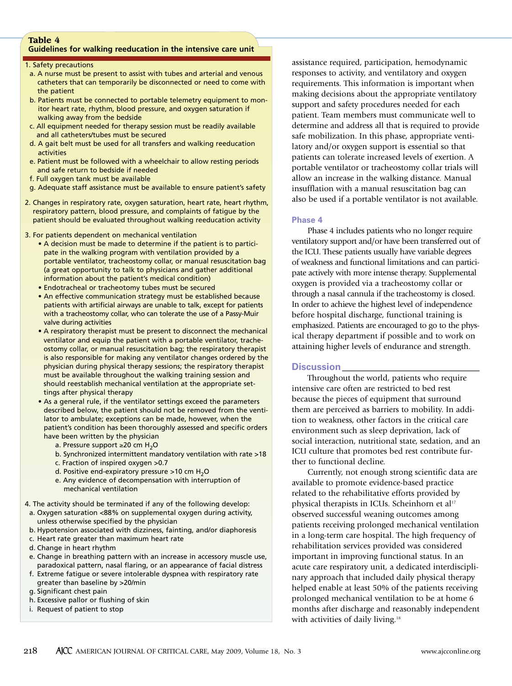# **Table 4**

# **Guidelines for walking reeducation in the intensive care unit**

1. Safety precautions

- a. A nurse must be present to assist with tubes and arterial and venous catheters that can temporarily be disconnected or need to come with the patient
- b. Patients must be connected to portable telemetry equipment to monitor heart rate, rhythm, blood pressure, and oxygen saturation if walking away from the bedside
- c. All equipment needed for therapy session must be readily available and all catheters/tubes must be secured
- d. A gait belt must be used for all transfers and walking reeducation activities
- e. Patient must be followed with a wheelchair to allow resting periods and safe return to bedside if needed
- f. Full oxygen tank must be available
- g. Adequate staff assistance must be available to ensure patient's safety
- 2. Changes in respiratory rate, oxygen saturation, heart rate, heart rhythm, respiratory pattern, blood pressure, and complaints of fatigue by the patient should be evaluated throughout walking reeducation activity

3. For patients dependent on mechanical ventilation

- A decision must be made to determine if the patient is to participate in the walking program with ventilation provided by a portable ventilator, tracheostomy collar, or manual resuscitation bag (a great opportunity to talk to physicians and gather additional information about the patient's medical condition)
- Endotracheal or tracheotomy tubes must be secured
- An effective communication strategy must be established because patients with artificial airways are unable to talk, except for patients with a tracheostomy collar, who can tolerate the use of a Passy-Muir valve during activities
- A respiratory therapist must be present to disconnect the mechanical ventilator and equip the patient with a portable ventilator, tracheostomy collar, or manual resuscitation bag; the respiratory therapist is also responsible for making any ventilator changes ordered by the physician during physical therapy sessions; the respiratory therapist must be available throughout the walking training session and should reestablish mechanical ventilation at the appropriate settings after physical therapy
- As a general rule, if the ventilator settings exceed the parameters described below, the patient should not be removed from the ventilator to ambulate; exceptions can be made, however, when the patient's condition has been thoroughly assessed and specific orders have been written by the physician
	- a. Pressure support ≥20 cm H<sub>2</sub>O
	- b. Synchronized intermittent mandatory ventilation with rate >18
	- c. Fraction of inspired oxygen >0.7
	- d. Positive end-expiratory pressure  $>10$  cm  $H<sub>2</sub>O$
	- e. Any evidence of decompensation with interruption of mechanical ventilation
- 4. The activity should be terminated if any of the following develop:
- a. Oxygen saturation <88% on supplemental oxygen during activity, unless otherwise specified by the physician
- b. Hypotension associated with dizziness, fainting, and/or diaphoresis
- c. Heart rate greater than maximum heart rate
- d. Change in heart rhythm
- e. Change in breathing pattern with an increase in accessory muscle use, paradoxical pattern, nasal flaring, or an appearance of facial distress
- f. Extreme fatigue or severe intolerable dyspnea with respiratory rate greater than baseline by >20/min
- g. Significant chest pain
- h. Excessive pallor or flushing of skin
- i. Request of patient to stop

assistance required, participation, hemodynamic responses to activity, and ventilatory and oxygen requirements. This information is important when making decisions about the appropriate ventilatory support and safety procedures needed for each patient. Team members must communicate well to determine and address all that is required to provide safe mobilization. In this phase, appropriate ventilatory and/or oxygen support is essential so that patients can tolerate increased levels of exertion. A portable ventilator or tracheostomy collar trials will allow an increase in the walking distance. Manual insufflation with a manual resuscitation bag can also be used if a portable ventilator is not available.

# **Phase 4**

Phase 4 includes patients who no longer require ventilatory support and/or have been transferred out of the ICU. These patients usually have variable degrees of weakness and functional limitations and can participate actively with more intense therapy. Supplemental oxygen is provided via a tracheostomy collar or through a nasal cannula if the tracheostomy is closed. In order to achieve the highest level of independence before hospital discharge, functional training is emphasized. Patients are encouraged to go to the physical therapy department if possible and to work on attaining higher levels of endurance and strength.

# **Discussion**

Throughout the world, patients who require intensive care often are restricted to bed rest because the pieces of equipment that surround them are perceived as barriers to mobility. In addition to weakness, other factors in the critical care environment such as sleep deprivation, lack of social interaction, nutritional state, sedation, and an ICU culture that promotes bed rest contribute further to functional decline.

Currently, not enough strong scientific data are available to promote evidence-based practice related to the rehabilitative efforts provided by physical therapists in ICUs. Scheinhorn et al<sup>17</sup> observed successful weaning outcomes among patients receiving prolonged mechanical ventilation in a long-term care hospital. The high frequency of rehabilitation services provided was considered important in improving functional status. In an acute care respiratory unit, a dedicated interdisciplinary approach that included daily physical therapy helped enable at least 50% of the patients receiving prolonged mechanical ventilation to be at home 6 months after discharge and reasonably independent with activities of daily living.<sup>18</sup>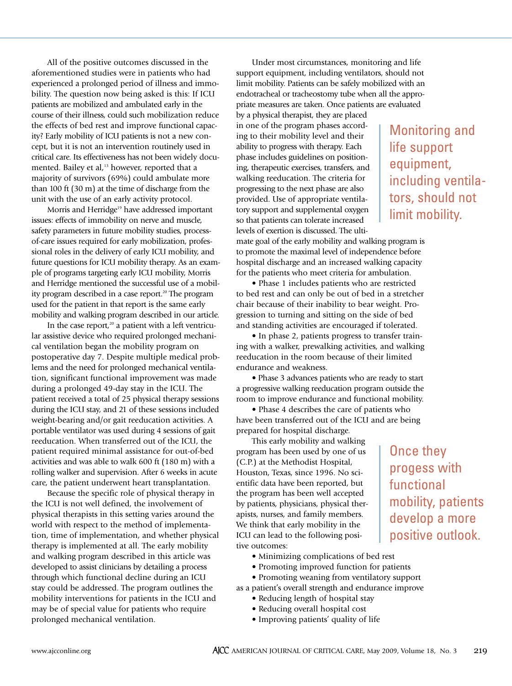All of the positive outcomes discussed in the aforementioned studies were in patients who had experienced a prolonged period of illness and immobility. The question now being asked is this: If ICU patients are mobilized and ambulated early in the course of their illness, could such mobilization reduce the effects of bed rest and improve functional capacity? Early mobility of ICU patients is not a new concept, but it is not an intervention routinely used in critical care. Its effectiveness has not been widely documented. Bailey et al,<sup>13</sup> however, reported that a majority of survivors (69%) could ambulate more than 100 ft (30 m) at the time of discharge from the unit with the use of an early activity protocol.

Morris and Herridge<sup>19</sup> have addressed important issues: effects of immobility on nerve and muscle, safety parameters in future mobility studies, processof-care issues required for early mobilization, professional roles in the delivery of early ICU mobility, and future questions for ICU mobility therapy. As an example of programs targeting early ICU mobility, Morris and Herridge mentioned the successful use of a mobility program described in a case report.<sup>20</sup> The program used for the patient in that report is the same early mobility and walking program described in our article.

In the case report, $20$  a patient with a left ventricular assistive device who required prolonged mechanical ventilation began the mobility program on postoperative day 7. Despite multiple medical problems and the need for prolonged mechanical ventilation, significant functional improvement was made during a prolonged 49-day stay in the ICU. The patient received a total of 25 physical therapy sessions during the ICU stay, and 21 of these sessions included weight-bearing and/or gait reeducation activities. A portable ventilator was used during 4 sessions of gait reeducation. When transferred out of the ICU, the patient required minimal assistance for out-of-bed activities and was able to walk 600 ft (180 m) with a rolling walker and supervision. After 6 weeks in acute care, the patient underwent heart transplantation.

Because the specific role of physical therapy in the ICU is not well defined, the involvement of physical therapists in this setting varies around the world with respect to the method of implementation, time of implementation, and whether physical therapy is implemented at all. The early mobility and walking program described in this article was developed to assist clinicians by detailing a process through which functional decline during an ICU stay could be addressed. The program outlines the mobility interventions for patients in the ICU and may be of special value for patients who require prolonged mechanical ventilation.

Under most circumstances, monitoring and life support equipment, including ventilators, should not limit mobility. Patients can be safely mobilized with an endotracheal or tracheostomy tube when all the appropriate measures are taken. Once patients are evaluated

by a physical therapist, they are placed in one of the program phases according to their mobility level and their ability to progress with therapy. Each phase includes guidelines on positioning, therapeutic exercises, transfers, and walking reeducation. The criteria for progressing to the next phase are also provided. Use of appropriate ventilatory support and supplemental oxygen so that patients can tolerate increased levels of exertion is discussed. The ulti-

Monitoring and life support equipment, including ventilators, should not limit mobility.

mate goal of the early mobility and walking program is to promote the maximal level of independence before hospital discharge and an increased walking capacity for the patients who meet criteria for ambulation.

• Phase 1 includes patients who are restricted to bed rest and can only be out of bed in a stretcher chair because of their inability to bear weight. Progression to turning and sitting on the side of bed and standing activities are encouraged if tolerated.

• In phase 2, patients progress to transfer training with a walker, prewalking activities, and walking reeducation in the room because of their limited endurance and weakness.

• Phase 3 advances patients who are ready to start a progressive walking reeducation program outside the room to improve endurance and functional mobility.

• Phase 4 describes the care of patients who have been transferred out of the ICU and are being prepared for hospital discharge.

This early mobility and walking program has been used by one of us (C.P.) at the Methodist Hospital, Houston, Texas, since 1996. No scientific data have been reported, but the program has been well accepted by patients, physicians, physical therapists, nurses, and family members. We think that early mobility in the ICU can lead to the following positive outcomes:

mobility, patients develop a more positive outlook.

Once they progess with

functional

- Minimizing complications of bed rest
- Promoting improved function for patients
- Promoting weaning from ventilatory support
- as a patient's overall strength and endurance improve
	- Reducing length of hospital stay
	- Reducing overall hospital cost
	- Improving patients' quality of life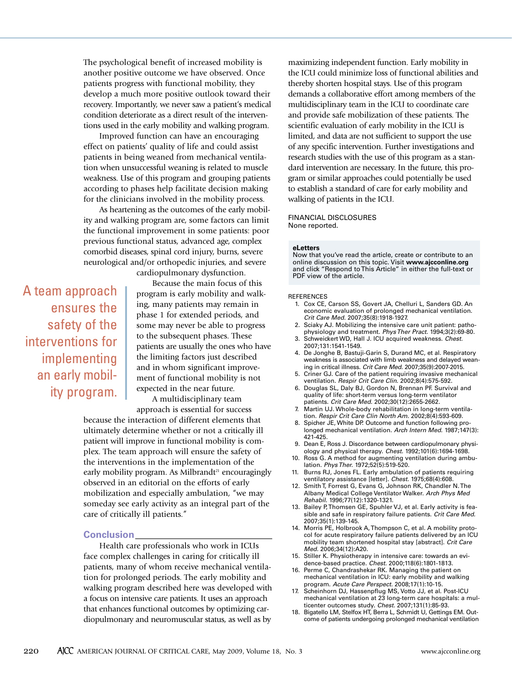The psychological benefit of increased mobility is another positive outcome we have observed. Once patients progress with functional mobility, they develop a much more positive outlook toward their recovery. Importantly, we never saw a patient's medical condition deteriorate as a direct result of the interventions used in the early mobility and walking program.

Improved function can have an encouraging effect on patients' quality of life and could assist patients in being weaned from mechanical ventilation when unsuccessful weaning is related to muscle weakness. Use of this program and grouping patients according to phases help facilitate decision making for the clinicians involved in the mobility process.

As heartening as the outcomes of the early mobility and walking program are, some factors can limit the functional improvement in some patients: poor previous functional status, advanced age, complex comorbid diseases, spinal cord injury, burns, severe neurological and/or orthopedic injuries, and severe

cardiopulmonary dysfunction.

# A team approach ensures the safety of the interventions for implementing an early mobility program.

Because the main focus of this program is early mobility and walking, many patients may remain in phase 1 for extended periods, and some may never be able to progress to the subsequent phases. These patients are usually the ones who have the limiting factors just described and in whom significant improvement of functional mobility is not expected in the near future.

A multidisciplinary team approach is essential for success

because the interaction of different elements that ultimately determine whether or not a critically ill patient will improve in functional mobility is complex. The team approach will ensure the safety of the interventions in the implementation of the early mobility program. As Milbrandt<sup>21</sup> encouragingly observed in an editorial on the efforts of early mobilization and especially ambulation, "we may someday see early activity as an integral part of the care of critically ill patients."

# **Conclusion**

Health care professionals who work in ICUs face complex challenges in caring for critically ill patients, many of whom receive mechanical ventilation for prolonged periods. The early mobility and walking program described here was developed with a focus on intensive care patients. It uses an approach that enhances functional outcomes by optimizing cardiopulmonary and neuromuscular status, as well as by

maximizing independent function. Early mobility in the ICU could minimize loss of functional abilities and thereby shorten hospital stays. Use of this program demands a collaborative effort among members of the multidisciplinary team in the ICU to coordinate care and provide safe mobilization of these patients. The scientific evaluation of early mobility in the ICU is limited, and data are not sufficient to support the use of any specific intervention. Further investigations and research studies with the use of this program as a standard intervention are necessary. In the future, this program or similar approaches could potentially be used to establish a standard of care for early mobility and walking of patients in the ICU.

FINANCIAL DISCLOSURES None reported.

## **eLetters**

Now that you've read the article, create or contribute to an online discussion on this topic. Visit **www.ajcconline.org** and click "Respond to This Article" in either the full-text or PDF view of the article.

### REFERENCES

- 1. Cox CE, Carson SS, Govert JA, Chelluri L, Sanders GD. An economic evaluation of prolonged mechanical ventilation. *Crit Care Med.* 2007;35(8):1918-1927.
- 2. Sciaky AJ. Mobilizing the intensive care unit patient: pathophysiology and treatment. *Phys Ther Pract.* 1994;3(2):69-80.
- 3. Schweickert WD, Hall J. ICU acquired weakness. *Chest.* 2007;131:1541-1549.
- 4. De Jonghe B, Bastuji-Garin S, Durand MC, et al. Respiratory weakness is associated with limb weakness and delayed weaning in critical illness. *Crit Care Med.* 2007;35(9):2007-2015.
- 5. Criner GJ. Care of the patient requiring invasive mechanical ventilation. *Respir Crit Care Clin.* 2002;8(4):575-592.
- 6. Douglas SL, Daly BJ, Gordon N, Brennan PF. Survival and quality of life: short-term versus long-term ventilator patients. *Crit Care Med.* 2002;30(12):2655-2662.
- 7. Martin UJ. Whole-body rehabilitation in long-term ventilation. *Respir Crit Care Clin North Am.* 2002;8(4):593-609.
- 8. Spicher JE, White DP. Outcome and function following prolonged mechanical ventilation. *Arch Intern Med.* 1987;147(3): 421-425.
- 9. Dean E, Ross J. Discordance between cardiopulmonary physiology and physical therapy. *Chest.* 1992;101(6):1694-1698.
- 10. Ross G. A method for augmenting ventilation during ambulation. *Phys Ther.* 1972;52(5):519-520.
- 11. Burns RJ, Jones FL. Early ambulation of patients requiring ventilatory assistance [letter]. *Chest.* 1975;68(4):608.
- 12. Smith T, Forrest G, Evans G, Johnson RK, Chandler N. The Albany Medical College Ventilator Walker. *Arch Phys Med Rehabil.* 1996;77(12):1320-1321.
- 13. Bailey P, Thomsen GE, Spuhler VJ, et al. Early activity is feasible and safe in respiratory failure patients. *Crit Care Med.* 2007;35(1):139-145.
- 14. Morris PE, Holbrook A, Thompson C, et al. A mobility protocol for acute respiratory failure patients delivered by an ICU mobility team shortened hospital stay [abstract]. *Crit Care Med.* 2006;34(12):A20.
- 15. Stiller K. Physiotherapy in intensive care: towards an evidence-based practice. *Chest.* 2000;118(6):1801-1813.
- 16. Perme C, Chandrashekar RK. Managing the patient on mechanical ventilation in ICU: early mobility and walking program. *Acute Care Perspect.* 2008;17(1):10-15.
- 17. Scheinhorn DJ, Hassenpflug MS, Votto JJ, et al. Post-ICU mechanical ventilation at 23 long-term care hospitals: a multicenter outcomes study. *Chest.* 2007;131(1):85-93.
- 18. Bigatello LM, Stelfox HT, Berra L, Schmidt U, Gettings EM. Outcome of patients undergoing prolonged mechanical ventilation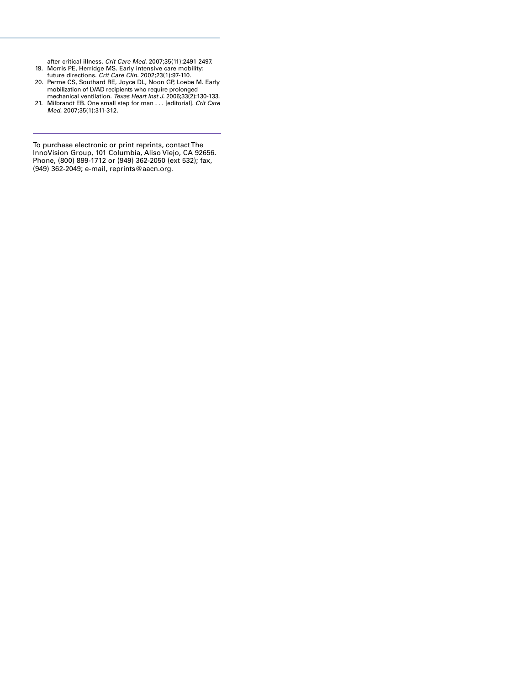after critical illness. *Crit Care Med.* 2007;35(11):2491-2497. 19. Morris PE, Herridge MS. Early intensive care mobility: future directions. *Crit Care Clin.* 2002;23(1):97-110.

- 20. Perme CS, Southard RE, Joyce DL, Noon GP, Loebe M. Early mobilization of LVAD recipients who require prolonged mechanical ventilation. *Texas Heart Inst J.* 2006;33(2):130-133.
- 21. Milbrandt EB. One small step for man . . . [editorial]. *Crit Care Med.* 2007;35(1):311-312.

To purchase electronic or print reprints, contact The InnoVision Group, 101 Columbia, Aliso Viejo, CA 92656. Phone, (800) 899-1712 or (949) 362-2050 (ext 532); fax, (949) 362-2049; e-mail, reprints@aacn.org.